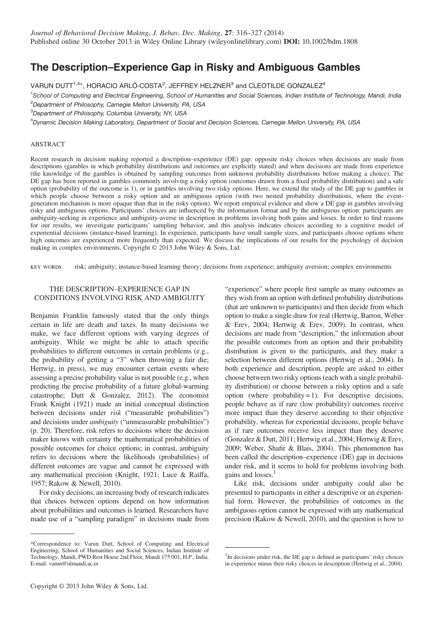# The Description–Experience Gap in Risky and Ambiguous Gambles

VARUN DUTT<sup>1,4\*</sup>, HORACIO ARLÓ-COSTA<sup>2</sup>, JEFFREY HELZNER<sup>3</sup> and CLEOTILDE GONZALEZ<sup>4</sup>

<sup>1</sup>School of Computing and Electrical Engineering, School of Humanities and Social Sciences, Indian Institute of Technology, Mandi, India <sup>2</sup>Department of Philosophy, Carnegie Mellon University, PA, USA

<sup>3</sup>Department of Philosophy, Columbia University, NY, USA

<sup>4</sup>Dynamic Decision Making Laboratory, Department of Social and Decision Sciences, Carnegie Mellon University, PA, USA

#### ABSTRACT

Recent research in decision making reported a description–experience (DE) gap: opposite risky choices when decisions are made from descriptions (gambles in which probability distributions and outcomes are explicitly stated) and when decisions are made from experience (the knowledge of the gambles is obtained by sampling outcomes from unknown probability distributions before making a choice). The DE gap has been reported in gambles commonly involving a risky option (outcomes drawn from a fixed probability distribution) and a safe option (probability of the outcome is 1), or in gambles involving two risky options. Here, we extend the study of the DE gap to gambles in which people choose between a risky option and an ambiguous option (with two nested probability distributions, where the eventgeneration mechanism is more opaque than that in the risky option). We report empirical evidence and show a DE gap in gambles involving risky and ambiguous options. Participants' choices are influenced by the information format and by the ambiguous option: participants are ambiguity-seeking in experience and ambiguity-averse in description in problems involving both gains and losses. In order to find reasons for our results, we investigate participants' sampling behavior, and this analysis indicates choices according to a cognitive model of experiential decisions (instance-based learning). In experience, participants have small sample sizes, and participants choose options where high outcomes are experienced more frequently than expected. We discuss the implications of our results for the psychology of decision making in complex environments. Copyright © 2013 John Wiley & Sons, Ltd.

key words risk; ambiguity; instance-based learning theory; decisions from experience; ambiguity aversion; complex environments

# THE DESCRIPTION–EXPERIENCE GAP IN CONDITIONS INVOLVING RISK AND AMBIGUITY

Benjamin Franklin famously stated that the only things certain in life are death and taxes. In many decisions we make, we face different options with varying degrees of ambiguity. While we might be able to attach specific probabilities to different outcomes in certain problems (e.g., the probability of getting a "3" when throwing a fair die; Hertwig, in press), we may encounter certain events where assessing a precise probability value is not possible (e.g., when predicting the precise probability of a future global-warming catastrophe; Dutt & Gonzalez, 2012). The economist Frank Knight (1921) made an initial conceptual distinction between decisions under risk ("measurable probabilities") and decisions under *ambiguity* ("unmeasurable probabilities") (p. 20). Therefore, risk refers to decisions where the decision maker knows with certainty the mathematical probabilities of possible outcomes for choice options; in contrast, ambiguity refers to decisions where the likelihoods (probabilities) of different outcomes are vague and cannot be expressed with any mathematical precision (Knight, 1921; Luce & Raiffa, 1957; Rakow & Newell, 2010).

For risky decisions, an increasing body of research indicates that choices between options depend on how information about probabilities and outcomes is learned. Researchers have made use of a "sampling paradigm" in decisions made from

"experience" where people first sample as many outcomes as they wish from an option with defined probability distributions (that are unknown to participants) and then decide from which option to make a single draw for real (Hertwig, Barron, Weber & Erev, 2004; Hertwig & Erev, 2009). In contrast, when decisions are made from "description," the information about the possible outcomes from an option and their probability distribution is given to the participants, and they make a selection between different options (Hertwig et al., 2004). In both experience and description, people are asked to either choose between two risky options (each with a single probability distribution) or choose between a risky option and a safe option (where probability = 1). For descriptive decisions, people behave as if rare (low probability) outcomes receive more impact than they deserve according to their objective probability, whereas for experiential decisions, people behave as if rare outcomes receive less impact than they deserve (Gonzalez & Dutt, 2011; Hertwig et al., 2004; Hertwig & Erev, 2009; Weber, Shafir & Blais, 2004). This phenomenon has been called the description–experience (DE) gap in decisions under risk, and it seems to hold for problems involving both gains and losses.<sup>1</sup>

Like risk, decisions under ambiguity could also be presented to participants in either a descriptive or an experiential form. However, the probabilities of outcomes in the ambiguous option cannot be expressed with any mathematical precision (Rakow & Newell, 2010), and the question is how to

<sup>\*</sup>Correspondence to: Varun Dutt, School of Computing and Electrical Engineering, School of Humanities and Social Sciences, Indian Institute of Technology, Mandi, PWD Rest House 2nd Floor, Mandi 175 001, H.P., India. E-mail: varun@iitmandi.ac.in

<sup>&</sup>lt;sup>1</sup>In decisions under risk, the DE gap is defined as participants' risky choices in experience minus their risky choices in description (Hertwig et al., 2004).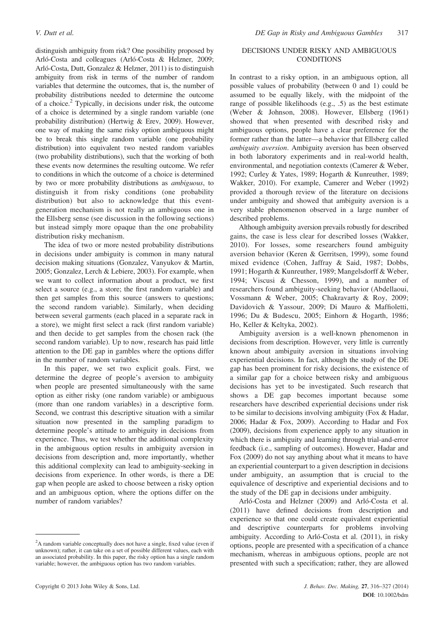distinguish ambiguity from risk? One possibility proposed by Arló-Costa and colleagues (Arló-Costa & Helzner, 2009; Arló-Costa, Dutt, Gonzalez & Helzner, 2011) is to distinguish ambiguity from risk in terms of the number of random variables that determine the outcomes, that is, the number of probability distributions needed to determine the outcome of a choice.2 Typically, in decisions under risk, the outcome of a choice is determined by a single random variable (one probability distribution) (Hertwig & Erev, 2009). However, one way of making the same risky option ambiguous might be to break this single random variable (one probability distribution) into equivalent two nested random variables (two probability distributions), such that the working of both these events now determines the resulting outcome. We refer to conditions in which the outcome of a choice is determined by two or more probability distributions as ambiguous, to distinguish it from risky conditions (one probability distribution) but also to acknowledge that this eventgeneration mechanism is not really an ambiguous one in the Ellsberg sense (see discussion in the following sections) but instead simply more opaque than the one probability distribution risky mechanism.

The idea of two or more nested probability distributions in decisions under ambiguity is common in many natural decision making situations (Gonzalez, Vanyukov & Martin, 2005; Gonzalez, Lerch & Lebiere, 2003). For example, when we want to collect information about a product, we first select a source (e.g., a store; the first random variable) and then get samples from this source (answers to questions; the second random variable). Similarly, when deciding between several garments (each placed in a separate rack in a store), we might first select a rack (first random variable) and then decide to get samples from the chosen rack (the second random variable). Up to now, research has paid little attention to the DE gap in gambles where the options differ in the number of random variables.

In this paper, we set two explicit goals. First, we determine the degree of people's aversion to ambiguity when people are presented simultaneously with the same option as either risky (one random variable) or ambiguous (more than one random variables) in a descriptive form. Second, we contrast this descriptive situation with a similar situation now presented in the sampling paradigm to determine people's attitude to ambiguity in decisions from experience. Thus, we test whether the additional complexity in the ambiguous option results in ambiguity aversion in decisions from description and, more importantly, whether this additional complexity can lead to ambiguity-seeking in decisions from experience. In other words, is there a DE gap when people are asked to choose between a risky option and an ambiguous option, where the options differ on the number of random variables?

# DECISIONS UNDER RISKY AND AMBIGUOUS CONDITIONS

In contrast to a risky option, in an ambiguous option, all possible values of probability (between 0 and 1) could be assumed to be equally likely, with the midpoint of the range of possible likelihoods (e.g., .5) as the best estimate (Weber & Johnson, 2008). However, Ellsberg (1961) showed that when presented with described risky and ambiguous options, people have a clear preference for the former rather than the latter—a behavior that Ellsberg called ambiguity aversion. Ambiguity aversion has been observed in both laboratory experiments and in real-world health, environmental, and negotiation contexts (Camerer & Weber, 1992; Curley & Yates, 1989; Hogarth & Kunreuther, 1989; Wakker, 2010). For example, Camerer and Weber (1992) provided a thorough review of the literature on decisions under ambiguity and showed that ambiguity aversion is a very stable phenomenon observed in a large number of described problems.

Although ambiguity aversion prevails robustly for described gains, the case is less clear for described losses (Wakker, 2010). For losses, some researchers found ambiguity aversion behavior (Keren & Gerritsen, 1999), some found mixed evidence (Cohen, Jaffray & Said, 1987; Dobbs, 1991; Hogarth & Kunreuther, 1989; Mangelsdorff & Weber, 1994; Viscusi & Chesson, 1999), and a number of researchers found ambiguity-seeking behavior (Abdellaoui, Vossmann & Weber, 2005; Chakravarty & Roy, 2009; Davidovich & Yassour, 2009; Di Mauro & Maffioletti, 1996; Du & Budescu, 2005; Einhorn & Hogarth, 1986; Ho, Keller & Keltyka, 2002).

Ambiguity aversion is a well-known phenomenon in decisions from description. However, very little is currently known about ambiguity aversion in situations involving experiential decisions. In fact, although the study of the DE gap has been prominent for risky decisions, the existence of a similar gap for a choice between risky and ambiguous decisions has yet to be investigated. Such research that shows a DE gap becomes important because some researchers have described experiential decisions under risk to be similar to decisions involving ambiguity (Fox & Hadar, 2006; Hadar & Fox, 2009). According to Hadar and Fox (2009), decisions from experience apply to any situation in which there is ambiguity and learning through trial-and-error feedback (i.e., sampling of outcomes). However, Hadar and Fox (2009) do not say anything about what it means to have an experiential counterpart to a given description in decisions under ambiguity, an assumption that is crucial to the equivalence of descriptive and experiential decisions and to the study of the DE gap in decisions under ambiguity.

Arló-Costa and Helzner (2009) and Arló-Costa et al. (2011) have defined decisions from description and experience so that one could create equivalent experiential and descriptive counterparts for problems involving ambiguity. According to Arló-Costa et al. (2011), in risky options, people are presented with a specification of a chance mechanism, whereas in ambiguous options, people are not presented with such a specification; rather, they are allowed

<sup>&</sup>lt;sup>2</sup>A random variable conceptually does not have a single, fixed value (even if unknown); rather, it can take on a set of possible different values, each with an associated probability. In this paper, the risky option has a single random variable; however, the ambiguous option has two random variables.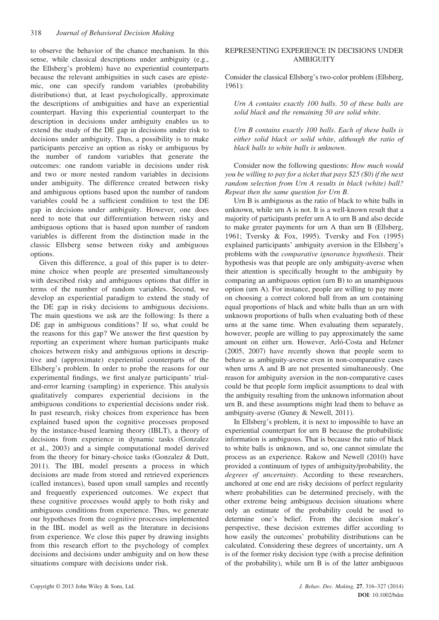to observe the behavior of the chance mechanism. In this sense, while classical descriptions under ambiguity (e.g., the Ellsberg's problem) have no experiential counterparts because the relevant ambiguities in such cases are epistemic, one can specify random variables (probability distributions) that, at least psychologically, approximate the descriptions of ambiguities and have an experiential counterpart. Having this experiential counterpart to the description in decisions under ambiguity enables us to extend the study of the DE gap in decisions under risk to decisions under ambiguity. Thus, a possibility is to make participants perceive an option as risky or ambiguous by the number of random variables that generate the outcomes: one random variable in decisions under risk and two or more nested random variables in decisions under ambiguity. The difference created between risky and ambiguous options based upon the number of random variables could be a sufficient condition to test the DE gap in decisions under ambiguity. However, one does need to note that our differentiation between risky and ambiguous options that is based upon number of random variables is different from the distinction made in the classic Ellsberg sense between risky and ambiguous options.

Given this difference, a goal of this paper is to determine choice when people are presented simultaneously with described risky and ambiguous options that differ in terms of the number of random variables. Second, we develop an experiential paradigm to extend the study of the DE gap in risky decisions to ambiguous decisions. The main questions we ask are the following: Is there a DE gap in ambiguous conditions? If so, what could be the reasons for this gap? We answer the first question by reporting an experiment where human participants make choices between risky and ambiguous options in descriptive and (approximate) experiential counterparts of the Ellsberg's problem. In order to probe the reasons for our experimental findings, we first analyze participants' trialand-error learning (sampling) in experience. This analysis qualitatively compares experiential decisions in the ambiguous conditions to experiential decisions under risk. In past research, risky choices from experience has been explained based upon the cognitive processes proposed by the instance-based learning theory (IBLT), a theory of decisions from experience in dynamic tasks (Gonzalez et al., 2003) and a simple computational model derived from the theory for binary-choice tasks (Gonzalez & Dutt, 2011). The IBL model presents a process in which decisions are made from stored and retrieved experiences (called instances), based upon small samples and recently and frequently experienced outcomes. We expect that these cognitive processes would apply to both risky and ambiguous conditions from experience. Thus, we generate our hypotheses from the cognitive processes implemented in the IBL model as well as the literature in decisions from experience. We close this paper by drawing insights from this research effort to the psychology of complex decisions and decisions under ambiguity and on how these situations compare with decisions under risk.

# REPRESENTING EXPERIENCE IN DECISIONS UNDER AMBIGUITY

Consider the classical Ellsberg's two-color problem (Ellsberg, 1961):

Urn A contains exactly 100 balls. 50 of these balls are solid black and the remaining 50 are solid white.

Urn B contains exactly 100 balls. Each of these balls is either solid black or solid white, although the ratio of black balls to white balls is unknown.

Consider now the following questions: How much would you be willing to pay for a ticket that pays \$25 (\$0) if the next random selection from Urn A results in black (white) ball? Repeat then the same question for Urn B.

Urn B is ambiguous as the ratio of black to white balls in unknown, while urn A is not. It is a well-known result that a majority of participants prefer urn A to urn B and also decide to make greater payments for urn A than urn B (Ellsberg, 1961; Tversky & Fox, 1995). Tversky and Fox (1995) explained participants' ambiguity aversion in the Ellsberg's problems with the comparative ignorance hypothesis. Their hypothesis was that people are only ambiguity-averse when their attention is specifically brought to the ambiguity by comparing an ambiguous option (urn B) to an unambiguous option (urn A). For instance, people are willing to pay more on choosing a correct colored ball from an urn containing equal proportions of black and white balls than an urn with unknown proportions of balls when evaluating both of these urns at the same time. When evaluating them separately, however, people are willing to pay approximately the same amount on either urn. However, Arló-Costa and Helzner (2005, 2007) have recently shown that people seem to behave as ambiguity-averse even in non-comparative cases when urns A and B are not presented simultaneously. One reason for ambiguity aversion in the non-comparative cases could be that people form implicit assumptions to deal with the ambiguity resulting from the unknown information about urn B, and these assumptions might lead them to behave as ambiguity-averse (Guney & Newell, 2011).

In Ellsberg's problem, it is next to impossible to have an experiential counterpart for urn B because the probabilistic information is ambiguous. That is because the ratio of black to white balls is unknown, and so, one cannot simulate the process as an experience. Rakow and Newell (2010) have provided a continuum of types of ambiguity/probability, the degrees of uncertainty. According to these researchers, anchored at one end are risky decisions of perfect regularity where probabilities can be determined precisely, with the other extreme being ambiguous decision situations where only an estimate of the probability could be used to determine one's belief. From the decision maker's perspective, these decision extremes differ according to how easily the outcomes' probability distributions can be calculated. Considering these degrees of uncertainty, urn A is of the former risky decision type (with a precise definition of the probability), while urn B is of the latter ambiguous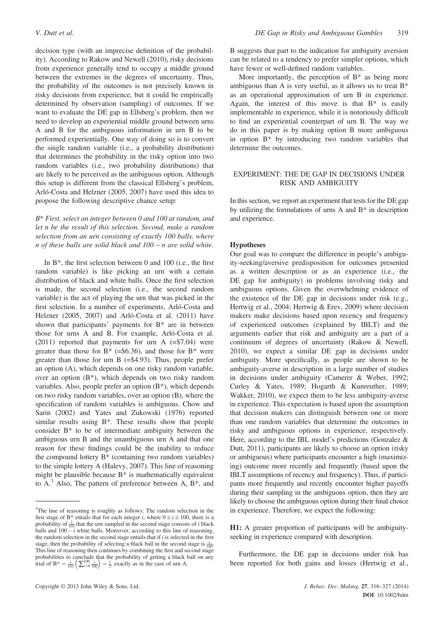decision type (with an imprecise definition of the probability). According to Rakow and Newell (2010), risky decisions from experience generally tend to occupy a middle ground between the extremes in the degrees of uncertainty. Thus, the probability of the outcomes is not precisely known in risky decisions from experience, but it could be empirically determined by observation (sampling) of outcomes. If we want to evaluate the DE gap in Ellsberg's problem, then we need to develop an experiential middle ground between urns A and B for the ambiguous information in urn B to be performed experientially. One way of doing so is to convert the single random variable (i.e., a probability distribution) that determines the probability in the risky option into two random variables (i.e., two probability distributions) that are likely to be perceived as the ambiguous option. Although this setup is different from the classical Ellsberg's problem, Arló-Costa and Helzner (2005, 2007) have used this idea to propose the following descriptive chance setup:

B\* First, select an integer between 0 and 100 at random, and let n be the result of this selection. Second, make a random selection from an urn consisting of exactly 100 balls, where  $n$  of these balls are solid black and  $100 - n$  are solid white.

In B\*, the first selection between 0 and 100 (i.e., the first random variable) is like picking an urn with a certain distribution of black and white balls. Once the first selection is made, the second selection (i.e., the second random variable) is the act of playing the urn that was picked in the first selection. In a number of experiments, Arló-Costa and Helzner (2005, 2007) and Arló-Costa et al. (2011) have shown that participants' payments for B\* are in between those for urns A and B. For example, Arló-Costa et al.  $(2011)$  reported that payments for urn A  $(=\$7.04)$  were greater than those for  $B^*$  (=\$6.36), and those for  $B^*$  were greater than those for urn B (=\$4.93). Thus, people prefer an option (A), which depends on one risky random variable, over an option (B\*), which depends on two risky random variables. Also, people prefer an option  $(B^*)$ , which depends on two risky random variables, over an option (B), where the specification of random variables is ambiguous. Chow and Sarin (2002) and Yates and Zukowski (1976) reported similar results using B\*. These results show that people consider B\* to be of intermediate ambiguity between the ambiguous urn B and the unambiguous urn A and that one reason for these findings could be the inability to reduce the compound lottery  $B^*$  (containing two random variables) to the simple lottery A (Halevy, 2007). This line of reasoning might be plausible because  $B^*$  is mathematically equivalent to  $A<sup>3</sup>$  Also, The pattern of preference between A, B<sup>\*</sup>, and B suggests that part to the indication for ambiguity aversion can be related to a tendency to prefer simpler options, which have fewer or well-defined random variables.

More importantly, the perception of  $B^*$  as being more ambiguous than A is very useful, as it allows us to treat B\* as an operational approximation of urn B in experience. Again, the interest of this move is that  $B^*$  is easily implementable in experience, while it is notoriously difficult to find an experiential counterpart of urn B. The way we do in this paper is by making option B more ambiguous in option  $B^*$  by introducing two random variables that determine the outcomes.

# EXPERIMENT: THE DE GAP IN DECISIONS UNDER RISK AND AMBIGUITY

In this section, we report an experiment that tests for the DE gap by utilizing the formulations of urns A and B\* in description and experience.

# Hypotheses

Our goal was to compare the difference in people's ambiguity-seeking/aversive predisposition for outcomes presented as a written description or as an experience (i.e., the DE gap for ambiguity) in problems involving risky and ambiguous options. Given the overwhelming evidence of the existence of the DE gap in decisions under risk (e.g., Hertwig et al., 2004; Hertwig & Erev, 2009) where decision makers make decisions based upon recency and frequency of experienced outcomes (explained by IBLT) and the arguments earlier that risk and ambiguity are a part of a continuum of degrees of uncertainty (Rakow & Newell, 2010), we expect a similar DE gap in decisions under ambiguity. More specifically, as people are shown to be ambiguity-averse in description in a large number of studies in decisions under ambiguity (Camerer & Weber, 1992; Curley & Yates, 1989; Hogarth & Kunreuther, 1989; Wakker, 2010), we expect them to be less ambiguity-averse in experience. This expectation is based upon the assumption that decision makers can distinguish between one or more than one random variables that determine the outcomes in risky and ambiguous options in experience, respectively. Here, according to the IBL model's predictions (Gonzalez & Dutt, 2011), participants are likely to choose an option (risky or ambiguous) where participants encounter a high (maximizing) outcome more recently and frequently (based upon the IBLT assumptions of recency and frequency). Thus, if participants more frequently and recently encounter higher payoffs during their sampling in the ambiguous option, then they are likely to choose the ambiguous option during their final choice in experience. Therefore, we expect the following:

H1: A greater proportion of participants will be ambiguityseeking in experience compared with description.

Furthermore, the DE gap in decisions under risk has been reported for both gains and losses (Hertwig et al.,

<sup>&</sup>lt;sup>3</sup>The line of reasoning is roughly as follows: The random selection in the first stage of B\* entails that for each integer i, where  $0 \le i \le 100$ , there is a probability of  $\frac{1}{101}$  that the urn sampled in the second stage consists of *i* black balls and  $100 - i$  white balls. Moreover, according to this line of reasoning, the random selection in the second stage entails that if  $i$  is selected in the first stage, then the probability of selecting a black ball in the second stage is  $\frac{i}{100}$ . This line of reasoning then continues by combining the first and second stage probabilities to conclude that the probability of getting a black ball on any trial of B<sup>\*</sup> =  $\frac{1}{101}$  $\left( \sum_{i=0}^{100} \frac{i}{100} \right) = \frac{1}{2}$ , exactly as in the case of urn A.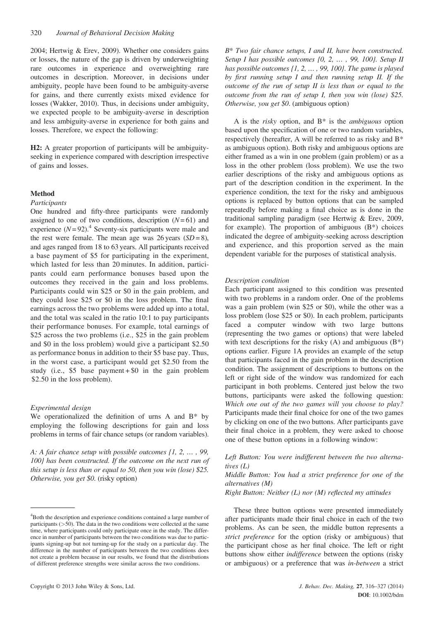2004; Hertwig & Erev, 2009). Whether one considers gains or losses, the nature of the gap is driven by underweighting rare outcomes in experience and overweighting rare outcomes in description. Moreover, in decisions under ambiguity, people have been found to be ambiguity-averse for gains, and there currently exists mixed evidence for losses (Wakker, 2010). Thus, in decisions under ambiguity, we expected people to be ambiguity-averse in description and less ambiguity-averse in experience for both gains and losses. Therefore, we expect the following:

H2: A greater proportion of participants will be ambiguityseeking in experience compared with description irrespective of gains and losses.

# Method

#### **Participants**

One hundred and fifty-three participants were randomly assigned to one of two conditions, description  $(N=61)$  and experience  $(N= 92)$ .<sup>4</sup> Seventy-six participants were male and the rest were female. The mean age was  $26$  years  $(SD=8)$ , and ages ranged from 18 to 63 years. All participants received a base payment of \$5 for participating in the experiment, which lasted for less than 20 minutes. In addition, participants could earn performance bonuses based upon the outcomes they received in the gain and loss problems. Participants could win \$25 or \$0 in the gain problem, and they could lose \$25 or \$0 in the loss problem. The final earnings across the two problems were added up into a total, and the total was scaled in the ratio 10:1 to pay participants their performance bonuses. For example, total earnings of \$25 across the two problems (i.e., \$25 in the gain problem and \$0 in the loss problem) would give a participant \$2.50 as performance bonus in addition to their \$5 base pay. Thus, in the worst case, a participant would get \$2.50 from the study (i.e.,  $$5$  base payment + \$0 in the gain problem \$2.50 in the loss problem).

#### Experimental design

We operationalized the definition of urns A and B\* by employing the following descriptions for gain and loss problems in terms of fair chance setups (or random variables).

A: A fair chance setup with possible outcomes {1, 2, … , 99, 100} has been constructed. If the outcome on the next run of this setup is less than or equal to 50, then you win (lose) \$25. Otherwise, you get \$0. (risky option)

B\* Two fair chance setups, I and II, have been constructed. Setup I has possible outcomes {0, 2, … , 99, 100}. Setup II has possible outcomes {1, 2, ..., 99, 100}. The game is played by first running setup I and then running setup II. If the outcome of the run of setup II is less than or equal to the outcome from the run of setup I, then you win (lose) \$25. Otherwise, you get \$0. (ambiguous option)

A is the *risky* option, and  $B^*$  is the *ambiguous* option based upon the specification of one or two random variables, respectively (hereafter, A will be referred to as risky and B\* as ambiguous option). Both risky and ambiguous options are either framed as a win in one problem (gain problem) or as a loss in the other problem (loss problem). We use the two earlier descriptions of the risky and ambiguous options as part of the description condition in the experiment. In the experience condition, the text for the risky and ambiguous options is replaced by button options that can be sampled repeatedly before making a final choice as is done in the traditional sampling paradigm (see Hertwig & Erev, 2009, for example). The proportion of ambiguous  $(B^*)$  choices indicated the degree of ambiguity-seeking across description and experience, and this proportion served as the main dependent variable for the purposes of statistical analysis.

#### Description condition

Each participant assigned to this condition was presented with two problems in a random order. One of the problems was a gain problem (win \$25 or \$0), while the other was a loss problem (lose \$25 or \$0). In each problem, participants faced a computer window with two large buttons (representing the two games or options) that were labeled with text descriptions for the risky  $(A)$  and ambiguous  $(B^*)$ options earlier. Figure 1A provides an example of the setup that participants faced in the gain problem in the description condition. The assignment of descriptions to buttons on the left or right side of the window was randomized for each participant in both problems. Centered just below the two buttons, participants were asked the following question: Which one out of the two games will you choose to play? Participants made their final choice for one of the two games by clicking on one of the two buttons. After participants gave their final choice in a problem, they were asked to choose one of these button options in a following window:

#### Left Button: You were indifferent between the two alternatives (L)

Middle Button: You had a strict preference for one of the alternatives (M)

Right Button: Neither (L) nor (M) reflected my attitudes

These three button options were presented immediately after participants made their final choice in each of the two problems. As can be seen, the middle button represents a strict preference for the option (risky or ambiguous) that the participant chose as her final choice. The left or right buttons show either *indifference* between the options (risky or ambiguous) or a preference that was in-between a strict

<sup>&</sup>lt;sup>4</sup>Both the description and experience conditions contained a large number of participants  $(550)$ . The data in the two conditions were collected at the same time, where participants could only participate once in the study. The difference in number of participants between the two conditions was due to participants signing-up but not turning-up for the study on a particular day. The difference in the number of participants between the two conditions does not create a problem because in our results, we found that the distributions of different preference strengths were similar across the two conditions.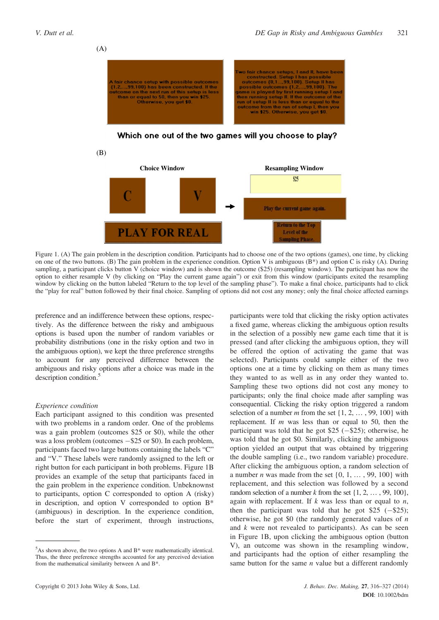

Which one out of the two games will you choose to play?



Figure 1. (A) The gain problem in the description condition. Participants had to choose one of the two options (games), one time, by clicking on one of the two buttons. (B) The gain problem in the experience condition. Option V is ambiguous (B\*) and option C is risky (A). During sampling, a participant clicks button V (choice window) and is shown the outcome (\$25) (resampling window). The participant has now the option to either resample V (by clicking on "Play the current game again") or exit from this window (participants exited the resampling window by clicking on the button labeled "Return to the top level of the sampling phase"). To make a final choice, participants had to click the "play for real" button followed by their final choice. Sampling of options did not cost any money; only the final choice affected earnings

preference and an indifference between these options, respectively. As the difference between the risky and ambiguous options is based upon the number of random variables or probability distributions (one in the risky option and two in the ambiguous option), we kept the three preference strengths to account for any perceived difference between the ambiguous and risky options after a choice was made in the description condition.<sup>5</sup>

# Experience condition

Each participant assigned to this condition was presented with two problems in a random order. One of the problems was a gain problem (outcomes \$25 or \$0), while the other was a loss problem (outcomes  $-$ \$25 or \$0). In each problem, participants faced two large buttons containing the labels "C" and "V." These labels were randomly assigned to the left or right button for each participant in both problems. Figure 1B provides an example of the setup that participants faced in the gain problem in the experience condition. Unbeknownst to participants, option C corresponded to option A (risky) in description, and option V corresponded to option B\* (ambiguous) in description. In the experience condition, before the start of experiment, through instructions,

participants were told that clicking the risky option activates a fixed game, whereas clicking the ambiguous option results in the selection of a possibly new game each time that it is pressed (and after clicking the ambiguous option, they will be offered the option of activating the game that was selected). Participants could sample either of the two options one at a time by clicking on them as many times they wanted to as well as in any order they wanted to. Sampling these two options did not cost any money to participants; only the final choice made after sampling was consequential. Clicking the risky option triggered a random selection of a number m from the set  $\{1, 2, \ldots, 99, 100\}$  with replacement. If  $m$  was less than or equal to 50, then the participant was told that he got  $$25 (-$25)$ ; otherwise, he was told that he got \$0. Similarly, clicking the ambiguous option yielded an output that was obtained by triggering the double sampling (i.e., two random variable) procedure. After clicking the ambiguous option, a random selection of a number *n* was made from the set  $\{0, 1, \ldots, 99, 100\}$  with replacement, and this selection was followed by a second random selection of a number k from the set  $\{1, 2, \ldots, 99, 100\}$ , again with replacement. If  $k$  was less than or equal to  $n$ , then the participant was told that he got \$25 ( $-\$25$ ); otherwise, he got \$0 (the randomly generated values of  $n$ ) and  $k$  were not revealed to participants). As can be seen in Figure 1B, upon clicking the ambiguous option (button V), an outcome was shown in the resampling window, and participants had the option of either resampling the same button for the same  $n$  value but a different randomly

 $5$ As shown above, the two options A and B\* were mathematically identical. Thus, the three preference strengths accounted for any perceived deviation from the mathematical similarity between A and B\*.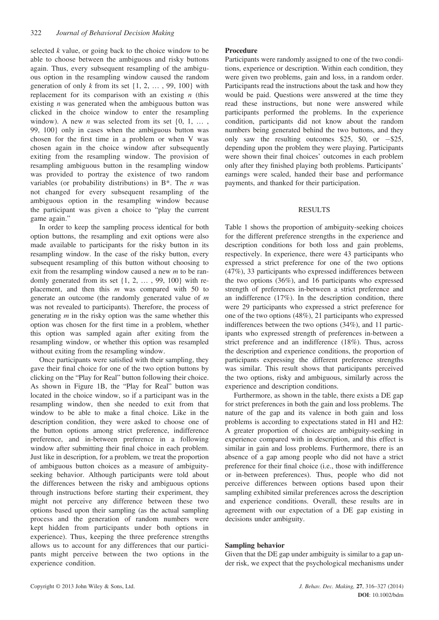selected  $k$  value, or going back to the choice window to be able to choose between the ambiguous and risky buttons again. Thus, every subsequent resampling of the ambiguous option in the resampling window caused the random generation of only k from its set  $\{1, 2, \ldots, 99, 100\}$  with replacement for its comparison with an existing  $n$  (this existing  $n$  was generated when the ambiguous button was clicked in the choice window to enter the resampling window). A new *n* was selected from its set  $\{0, 1, \ldots\}$ 99, 100} only in cases when the ambiguous button was chosen for the first time in a problem or when V was chosen again in the choice window after subsequently exiting from the resampling window. The provision of resampling ambiguous button in the resampling window was provided to portray the existence of two random variables (or probability distributions) in  $B^*$ . The *n* was not changed for every subsequent resampling of the ambiguous option in the resampling window because the participant was given a choice to "play the current game again."

In order to keep the sampling process identical for both option buttons, the resampling and exit options were also made available to participants for the risky button in its resampling window. In the case of the risky button, every subsequent resampling of this button without choosing to exit from the resampling window caused a new  $m$  to be randomly generated from its set  $\{1, 2, \ldots, 99, 100\}$  with replacement, and then this  $m$  was compared with 50 to generate an outcome (the randomly generated value of m was not revealed to participants). Therefore, the process of generating  $m$  in the risky option was the same whether this option was chosen for the first time in a problem, whether this option was sampled again after exiting from the resampling window, or whether this option was resampled without exiting from the resampling window.

Once participants were satisfied with their sampling, they gave their final choice for one of the two option buttons by clicking on the "Play for Real" button following their choice. As shown in Figure 1B, the "Play for Real" button was located in the choice window, so if a participant was in the resampling window, then she needed to exit from that window to be able to make a final choice. Like in the description condition, they were asked to choose one of the button options among strict preference, indifference preference, and in-between preference in a following window after submitting their final choice in each problem. Just like in description, for a problem, we treat the proportion of ambiguous button choices as a measure of ambiguityseeking behavior. Although participants were told about the differences between the risky and ambiguous options through instructions before starting their experiment, they might not perceive any difference between these two options based upon their sampling (as the actual sampling process and the generation of random numbers were kept hidden from participants under both options in experience). Thus, keeping the three preference strengths allows us to account for any differences that our participants might perceive between the two options in the experience condition.

# Procedure

Participants were randomly assigned to one of the two conditions, experience or description. Within each condition, they were given two problems, gain and loss, in a random order. Participants read the instructions about the task and how they would be paid. Questions were answered at the time they read these instructions, but none were answered while participants performed the problems. In the experience condition, participants did not know about the random numbers being generated behind the two buttons, and they only saw the resulting outcomes \$25, \$0, or  $-\$25$ , depending upon the problem they were playing. Participants were shown their final choices' outcomes in each problem only after they finished playing both problems. Participants' earnings were scaled, handed their base and performance payments, and thanked for their participation.

# RESULTS

Table 1 shows the proportion of ambiguity-seeking choices for the different preference strengths in the experience and description conditions for both loss and gain problems, respectively. In experience, there were 43 participants who expressed a strict preference for one of the two options (47%), 33 participants who expressed indifferences between the two options (36%), and 16 participants who expressed strength of preferences in-between a strict preference and an indifference (17%). In the description condition, there were 29 participants who expressed a strict preference for one of the two options (48%), 21 participants who expressed indifferences between the two options (34%), and 11 participants who expressed strength of preferences in-between a strict preference and an indifference (18%). Thus, across the description and experience conditions, the proportion of participants expressing the different preference strengths was similar. This result shows that participants perceived the two options, risky and ambiguous, similarly across the experience and description conditions.

Furthermore, as shown in the table, there exists a DE gap for strict preferences in both the gain and loss problems. The nature of the gap and its valence in both gain and loss problems is according to expectations stated in H1 and H2: A greater proportion of choices are ambiguity-seeking in experience compared with in description, and this effect is similar in gain and loss problems. Furthermore, there is an absence of a gap among people who did not have a strict preference for their final choice (i.e., those with indifference or in-between preferences). Thus, people who did not perceive differences between options based upon their sampling exhibited similar preferences across the description and experience conditions. Overall, these results are in agreement with our expectation of a DE gap existing in decisions under ambiguity.

# Sampling behavior

Given that the DE gap under ambiguity is similar to a gap under risk, we expect that the psychological mechanisms under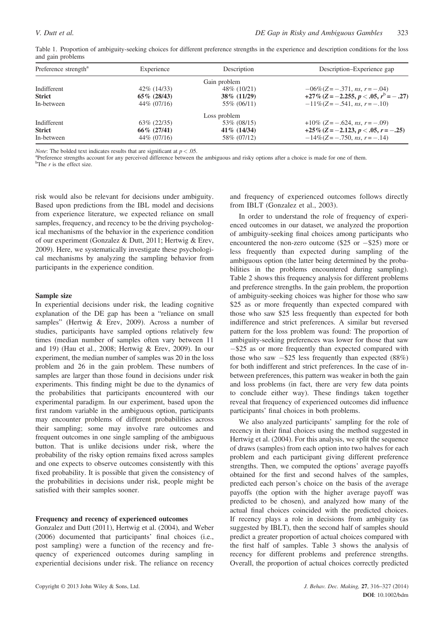|                   | Table 1. Proportion of ambiguity-seeking choices for different preference strengths in the experience and description conditions for the loss |  |  |  |  |  |  |
|-------------------|-----------------------------------------------------------------------------------------------------------------------------------------------|--|--|--|--|--|--|
| and gain problems |                                                                                                                                               |  |  |  |  |  |  |

| Preference strength <sup>a</sup> | Experience     | Description    | Description–Experience gap                      |
|----------------------------------|----------------|----------------|-------------------------------------------------|
|                                  |                | Gain problem   |                                                 |
| Indifferent                      | 42\% (14/33)   | 48\% (10/21)   | $-06\%$ (Z = -.371, ns, r = -.04)               |
| <b>Strict</b>                    | $65\%$ (28/43) | 38\% (11/29)   | +27% ( $Z = -2.255$ , $p < .05$ , $rb = -.27$ ) |
| In-between                       | 44\% (07/16)   | 55\% (06/11)   | $-11\%$ (Z = -.541, ns, r = -.10)               |
|                                  |                | Loss problem   |                                                 |
| Indifferent                      | $63\% (22/35)$ | 53\% (08/15)   | $+10\%$ (Z = -.624, ns, r = -.09)               |
| <b>Strict</b>                    | $66\%$ (27/41) | $41\%$ (14/34) | $+25\%$ (Z = -2.123, p < .05, r = -.25)         |
| In-between                       | 44\% (07/16)   | 58\% (07/12)   | $-14\%$ (Z = -.750, ns, r = -.14)               |
|                                  |                |                |                                                 |

*Note*: The bolded text indicates results that are significant at  $p < .05$ .<br><sup>a</sup>Preference strengths account for any perceived difference between the ambiguous and risky options after a choice is made for one of them.  $<sup>b</sup>$ The r is the effect size.</sup>

risk would also be relevant for decisions under ambiguity. Based upon predictions from the IBL model and decisions from experience literature, we expected reliance on small samples, frequency, and recency to be the driving psychological mechanisms of the behavior in the experience condition of our experiment (Gonzalez & Dutt, 2011; Hertwig & Erev, 2009). Here, we systematically investigate these psychological mechanisms by analyzing the sampling behavior from participants in the experience condition.

#### Sample size

In experiential decisions under risk, the leading cognitive explanation of the DE gap has been a "reliance on small samples" (Hertwig & Erev, 2009). Across a number of studies, participants have sampled options relatively few times (median number of samples often vary between 11 and 19) (Hau et al., 2008; Hertwig & Erev, 2009). In our experiment, the median number of samples was 20 in the loss problem and 26 in the gain problem. These numbers of samples are larger than those found in decisions under risk experiments. This finding might be due to the dynamics of the probabilities that participants encountered with our experimental paradigm. In our experiment, based upon the first random variable in the ambiguous option, participants may encounter problems of different probabilities across their sampling; some may involve rare outcomes and frequent outcomes in one single sampling of the ambiguous button. That is unlike decisions under risk, where the probability of the risky option remains fixed across samples and one expects to observe outcomes consistently with this fixed probability. It is possible that given the consistency of the probabilities in decisions under risk, people might be satisfied with their samples sooner.

### Frequency and recency of experienced outcomes

Gonzalez and Dutt (2011), Hertwig et al. (2004), and Weber (2006) documented that participants' final choices (i.e., post sampling) were a function of the recency and frequency of experienced outcomes during sampling in experiential decisions under risk. The reliance on recency and frequency of experienced outcomes follows directly from IBLT (Gonzalez et al., 2003).

In order to understand the role of frequency of experienced outcomes in our dataset, we analyzed the proportion of ambiguity-seeking final choices among participants who encountered the non-zero outcome  $(\$25$  or  $-\$25)$  more or less frequently than expected during sampling of the ambiguous option (the latter being determined by the probabilities in the problems encountered during sampling). Table 2 shows this frequency analysis for different problems and preference strengths. In the gain problem, the proportion of ambiguity-seeking choices was higher for those who saw \$25 as or more frequently than expected compared with those who saw \$25 less frequently than expected for both indifference and strict preferences. A similar but reversed pattern for the loss problem was found: The proportion of ambiguity-seeking preferences was lower for those that saw  $-$ \$25 as or more frequently than expected compared with those who saw  $-$ \$25 less frequently than expected (88%) for both indifferent and strict preferences. In the case of inbetween preferences, this pattern was weaker in both the gain and loss problems (in fact, there are very few data points to conclude either way). These findings taken together reveal that frequency of experienced outcomes did influence participants' final choices in both problems.

We also analyzed participants' sampling for the role of recency in their final choices using the method suggested in Hertwig et al. (2004). For this analysis, we split the sequence of draws (samples) from each option into two halves for each problem and each participant giving different preference strengths. Then, we computed the options' average payoffs obtained for the first and second halves of the samples, predicted each person's choice on the basis of the average payoffs (the option with the higher average payoff was predicted to be chosen), and analyzed how many of the actual final choices coincided with the predicted choices. If recency plays a role in decisions from ambiguity (as suggested by IBLT), then the second half of samples should predict a greater proportion of actual choices compared with the first half of samples. Table 3 shows the analysis of recency for different problems and preference strengths. Overall, the proportion of actual choices correctly predicted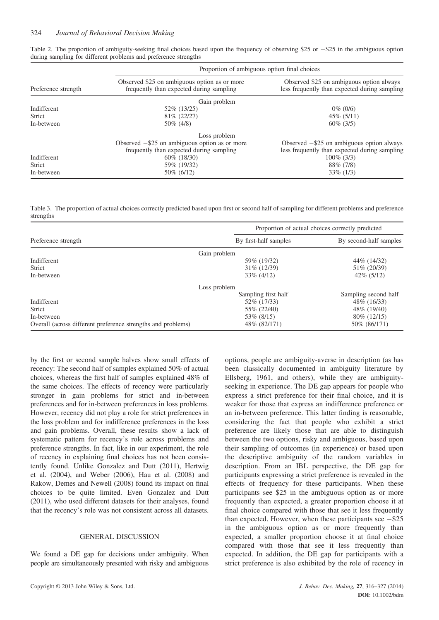|                     | Proportion of ambiguous option final choices                                             |                                                                                           |  |  |
|---------------------|------------------------------------------------------------------------------------------|-------------------------------------------------------------------------------------------|--|--|
| Preference strength | Observed \$25 on ambiguous option as or more<br>frequently than expected during sampling | Observed \$25 on ambiguous option always<br>less frequently than expected during sampling |  |  |
|                     | Gain problem                                                                             |                                                                                           |  |  |
| Indifferent         | 52\% (13/25)                                                                             | $0\%$ (0/6)                                                                               |  |  |
| Strict              | $81\%$ (22/27)                                                                           | $45\%$ (5/11)                                                                             |  |  |
| In-between          | 50\% (4/8)                                                                               | $60\%$ (3/5)                                                                              |  |  |
|                     | Loss problem                                                                             |                                                                                           |  |  |
|                     | Observed $-$ \$25 on ambiguous option as or more                                         | Observed $-$ \$25 on ambiguous option always                                              |  |  |
|                     | frequently than expected during sampling                                                 | less frequently than expected during sampling                                             |  |  |
| Indifferent         | $60\%$ (18/30)                                                                           | $100\%$ (3/3)                                                                             |  |  |
| Strict              | 59% (19/32)                                                                              | 88\% (7/8)                                                                                |  |  |
| In-between          | 50\% (6/12)                                                                              | $33\%$ (1/3)                                                                              |  |  |

Table 2. The proportion of ambiguity-seeking final choices based upon the frequency of observing \$25 or  $-$ \$25 in the ambiguous option during sampling for different problems and preference strengths

Table 3. The proportion of actual choices correctly predicted based upon first or second half of sampling for different problems and preference strengths

|                                                              |                       | Proportion of actual choices correctly predicted |  |  |
|--------------------------------------------------------------|-----------------------|--------------------------------------------------|--|--|
| Preference strength                                          | By first-half samples | By second-half samples                           |  |  |
|                                                              | Gain problem          |                                                  |  |  |
| Indifferent                                                  | 59% (19/32)           | 44\% (14/32)                                     |  |  |
| Strict                                                       | 31\% (12/39)          | 51\% (20/39)                                     |  |  |
| In-between                                                   | $33\%$ (4/12)         | $42\%$ (5/12)                                    |  |  |
|                                                              | Loss problem          |                                                  |  |  |
|                                                              | Sampling first half   | Sampling second half                             |  |  |
| Indifferent                                                  | 52\% (17/33)          | 48\% (16/33)                                     |  |  |
| Strict                                                       | 55\% (22/40)          | 48\% (19/40)                                     |  |  |
| In-between                                                   | 53\% (8/15)           | $80\%$ (12/15)                                   |  |  |
| Overall (across different preference strengths and problems) | 48% (82/171)          | 50\% (86/171)                                    |  |  |

by the first or second sample halves show small effects of recency: The second half of samples explained 50% of actual choices, whereas the first half of samples explained 48% of the same choices. The effects of recency were particularly stronger in gain problems for strict and in-between preferences and for in-between preferences in loss problems. However, recency did not play a role for strict preferences in the loss problem and for indifference preferences in the loss and gain problems. Overall, these results show a lack of systematic pattern for recency's role across problems and preference strengths. In fact, like in our experiment, the role of recency in explaining final choices has not been consistently found. Unlike Gonzalez and Dutt (2011), Hertwig et al. (2004), and Weber (2006), Hau et al. (2008) and Rakow, Demes and Newell (2008) found its impact on final choices to be quite limited. Even Gonzalez and Dutt (2011), who used different datasets for their analyses, found that the recency's role was not consistent across all datasets.

# GENERAL DISCUSSION

We found a DE gap for decisions under ambiguity. When people are simultaneously presented with risky and ambiguous options, people are ambiguity-averse in description (as has been classically documented in ambiguity literature by Ellsberg, 1961, and others), while they are ambiguityseeking in experience. The DE gap appears for people who express a strict preference for their final choice, and it is weaker for those that express an indifference preference or an in-between preference. This latter finding is reasonable, considering the fact that people who exhibit a strict preference are likely those that are able to distinguish between the two options, risky and ambiguous, based upon their sampling of outcomes (in experience) or based upon the descriptive ambiguity of the random variables in description. From an IBL perspective, the DE gap for participants expressing a strict preference is revealed in the effects of frequency for these participants. When these participants see \$25 in the ambiguous option as or more frequently than expected, a greater proportion choose it at final choice compared with those that see it less frequently than expected. However, when these participants see  $-$ \$25 in the ambiguous option as or more frequently than expected, a smaller proportion choose it at final choice compared with those that see it less frequently than expected. In addition, the DE gap for participants with a strict preference is also exhibited by the role of recency in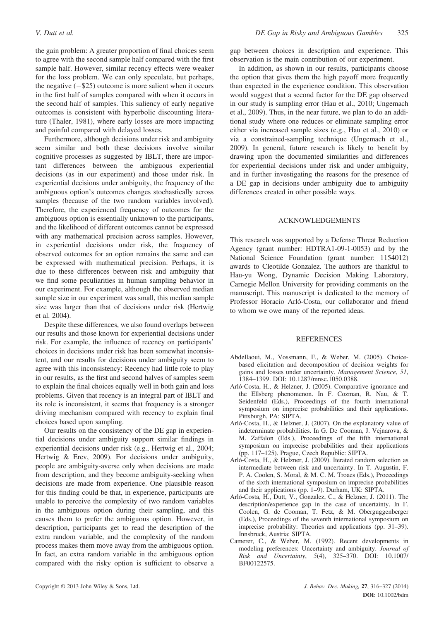the gain problem: A greater proportion of final choices seem to agree with the second sample half compared with the first sample half. However, similar recency effects were weaker for the loss problem. We can only speculate, but perhaps, the negative  $(-\$25)$  outcome is more salient when it occurs in the first half of samples compared with when it occurs in the second half of samples. This saliency of early negative outcomes is consistent with hyperbolic discounting literature (Thaler, 1981), where early losses are more impacting and painful compared with delayed losses.

Furthermore, although decisions under risk and ambiguity seem similar and both these decisions involve similar cognitive processes as suggested by IBLT, there are important differences between the ambiguous experiential decisions (as in our experiment) and those under risk. In experiential decisions under ambiguity, the frequency of the ambiguous option's outcomes changes stochastically across samples (because of the two random variables involved). Therefore, the experienced frequency of outcomes for the ambiguous option is essentially unknown to the participants, and the likelihood of different outcomes cannot be expressed with any mathematical precision across samples. However, in experiential decisions under risk, the frequency of observed outcomes for an option remains the same and can be expressed with mathematical precision. Perhaps, it is due to these differences between risk and ambiguity that we find some peculiarities in human sampling behavior in our experiment. For example, although the observed median sample size in our experiment was small, this median sample size was larger than that of decisions under risk (Hertwig et al. 2004).

Despite these differences, we also found overlaps between our results and those known for experiential decisions under risk. For example, the influence of recency on participants' choices in decisions under risk has been somewhat inconsistent, and our results for decisions under ambiguity seem to agree with this inconsistency: Recency had little role to play in our results, as the first and second halves of samples seem to explain the final choices equally well in both gain and loss problems. Given that recency is an integral part of IBLT and its role is inconsistent, it seems that frequency is a stronger driving mechanism compared with recency to explain final choices based upon sampling.

Our results on the consistency of the DE gap in experiential decisions under ambiguity support similar findings in experiential decisions under risk (e.g., Hertwig et al., 2004; Hertwig & Erev, 2009). For decisions under ambiguity, people are ambiguity-averse only when decisions are made from description, and they become ambiguity-seeking when decisions are made from experience. One plausible reason for this finding could be that, in experience, participants are unable to perceive the complexity of two random variables in the ambiguous option during their sampling, and this causes them to prefer the ambiguous option. However, in description, participants get to read the description of the extra random variable, and the complexity of the random process makes them move away from the ambiguous option. In fact, an extra random variable in the ambiguous option compared with the risky option is sufficient to observe a gap between choices in description and experience. This observation is the main contribution of our experiment.

In addition, as shown in our results, participants choose the option that gives them the high payoff more frequently than expected in the experience condition. This observation would suggest that a second factor for the DE gap observed in our study is sampling error (Hau et al., 2010; Ungemach et al., 2009). Thus, in the near future, we plan to do an additional study where one reduces or eliminate sampling error either via increased sample sizes (e.g., Hau et al., 2010) or via a constrained-sampling technique (Ungemach et al., 2009). In general, future research is likely to benefit by drawing upon the documented similarities and differences for experiential decisions under risk and under ambiguity, and in further investigating the reasons for the presence of a DE gap in decisions under ambiguity due to ambiguity differences created in other possible ways.

#### ACKNOWLEDGEMENTS

This research was supported by a Defense Threat Reduction Agency (grant number: HDTRA1-09-1-0053) and by the National Science Foundation (grant number: 1154012) awards to Cleotilde Gonzalez. The authors are thankful to Hau-yu Wong, Dynamic Decision Making Laboratory, Carnegie Mellon University for providing comments on the manuscript. This manuscript is dedicated to the memory of Professor Horacio Arló-Costa, our collaborator and friend to whom we owe many of the reported ideas.

#### **REFERENCES**

- Abdellaoui, M., Vossmann, F., & Weber, M. (2005). Choicebased elicitation and decomposition of decision weights for gains and losses under uncertainty. Management Science, 51, 1384–1399. DOI: 10.1287/mnsc.1050.0388.
- Arló-Costa, H., & Helzner, J. (2005). Comparative ignorance and the Ellsberg phenomenon. In F. Cozman, R. Nau, & T. Seidenfeld (Eds.), Proceedings of the fourth international symposium on imprecise probabilities and their applications. Pittsburgh, PA: SIPTA.
- Arló-Costa, H., & Helzner, J. (2007). On the explanatory value of indeterminate probabilities. In G. De Cooman, J. Vejnarova, & M. Zaffalon (Eds.), Proceedings of the fifth international symposium on imprecise probabilities and their applications (pp. 117–125). Prague, Czech Republic: SIPTA.
- Arló-Costa, H., & Helzner, J. (2009). Iterated random selection as intermediate between risk and uncertainty. In T. Augustin, F. P. A. Coolen, S. Moral, & M. C. M. Troaes (Eds.), Proceedings of the sixth international symposium on imprecise probabilities and their applications (pp. 1–9). Durham, UK: SIPTA.
- Arló-Costa, H., Dutt, V., Gonzalez, C., & Helzner, J. (2011). The description/experience gap in the case of uncertainty. In F. Coolen, G. de Cooman, T. Fetz, & M. Oberguggenberger (Eds.), Proceedings of the seventh international symposium on imprecise probability: Theories and applications (pp. 31–39). Innsbruck, Austria: SIPTA.
- Camerer, C., & Weber, M. (1992). Recent developments in modeling preferences: Uncertainty and ambiguity. Journal of Risk and Uncertainty, 5(4), 325–370. DOI: 10.1007/ BF00122575.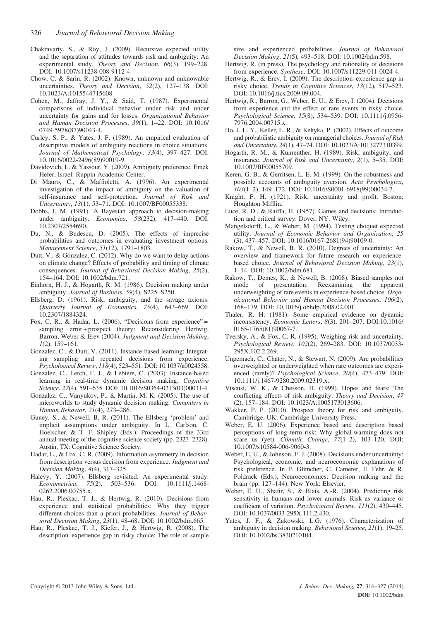- Chakravarty, S., & Roy, J. (2009). Recursive expected utility and the separation of attitudes towards risk and ambiguity: An experimental study. Theory and Decision, 66(3), 199–228. DOI: 10.1007/s11238-008-9112-4
- Chow, C. & Sarin, R. (2002). Known, unknown and unknowable uncertainties. Theory and Decision, 52(2), 127–138. DOI: 10.1023/A:1015544715608
- Cohen, M., Jaffray, J. Y., & Said, T. (1987). Experimental comparisons of individual behavior under risk and under uncertainty for gains and for losses. Organizational Behavior and Human Decision Processes, 39(1), 1–22. DOI: 10.1016/ 0749-5978(87)90043-4.
- Curley, S. P., & Yates, J. F. (1989). An empirical evaluation of descriptive models of ambiguity reactions in choice situations. Journal of Mathematical Psychology, 33(4), 397–427. DOI: 10.1016/0022-2496(89)90019-9.
- Davidovich, L. & Yassour, Y. (2009). Ambiguity preference. Emek Hefer, Israel: Ruppin Academic Center.
- Di Mauro, C., & Maffioletti, A. (1996). An experimental investigation of the impact of ambiguity on the valuation of self-insurance and self-protection. Journal of Risk and Uncertainty, 13(1), 53–71. DOI: 10.1007/BF00055338.
- Dobbs, I. M. (1991). A Bayesian approach to decision-making under ambiguity. Economica, 58(232), 417–440. DOI: 10.2307/2554690.
- Du, N., & Budescu, D. (2005). The effects of imprecise probabilities and outcomes in evaluating investment options. Management Science, 51(12), 1791–1803.
- Dutt, V., & Gonzalez, C. (2012). Why do we want to delay actions on climate change? Effects of probability and timing of climate consequences. Journal of Behavioral Decision Making, 25(2), 154–164. DOI: 10.1002/bdm.721.
- Einhorn, H. J., & Hogarth, R. M. (1986). Decision making under ambiguity. Journal of Business, 59(4), S225–S250.
- Ellsberg, D. (1961). Risk, ambiguity, and the savage axioms. Quarterly Journal of Economics, 75(4), 643–669. DOI: 10.2307/1884324.
- Fox, C. R., & Hadar, L. (2006). "Decisions from experience" = sampling error + prospect theory: Reconsidering Hertwig, Barron, Weber & Erev (2004). Judgment and Decision Making, 1(2), 159–161.
- Gonzalez, C., & Dutt, V. (2011). Instance-based learning: Integrating sampling and repeated decisions from experience. Psychological Review, 118(4), 523–551. DOI: 10.1037/a0024558.
- Gonzalez, C., Lerch, F. J., & Lebiere, C. (2003). Instance-based learning in real-time dynamic decision making. Cognitive Science, 27(4), 591–635. DOI: 10.1016/S0364-0213(03)00031-4.
- Gonzalez, C., Vanyukov, P., & Martin, M. K. (2005). The use of microworlds to study dynamic decision making. Computers in Human Behavior, 21(4), 273–286.
- Guney, S., & Newell, B. R. (2011). The Ellsberg 'problem' and implicit assumptions under ambiguity. In L. Carlson, C. Hoelscher, & T. F. Shipley (Eds.), Proceedings of the 33rd annual meeting of the cognitive science society (pp. 2323–2328). Austin, TX: Cognitive Science Society.
- Hadar, L., & Fox, C. R. (2009). Information asymmetry in decision from description versus decision from experience. Judgment and Decision Making, 4(4), 317–325.
- Halevy, Y. (2007). Ellsberg revisited: An experimental study. Econometrica, 75(2), 503–536. DOI: 10.1111/j.1468- 0262.2006.00755.x.
- Hau, R., Pleskac, T. J., & Hertwig, R. (2010). Decisions from experience and statistical probabilities: Why they trigger different choices than a priori probabilities. Journal of Behavioral Decision Making, 23(1), 48–68. DOI: 10.1002/bdm.665.
- Hau, R., Pleskac, T. J., Kiefer, J., & Hertwig, R. (2008). The description–experience gap in risky choice: The role of sample

size and experienced probabilities. Journal of Behavioral Decision Making, 21(5), 493–518. DOI: 10.1002/bdm.598.

- Hertwig, R. (in press). The psychology and rationality of decisions from experience. Synthese. DOI: 10.1007/s11229-011-0024-4.
- Hertwig, R., & Erev, I. (2009). The description–experience gap in risky choice. Trends in Cognitive Sciences, 13(12), 517–523. DOI: 10.1016/j.tics.2009.09.004.
- Hertwig, R., Barron, G., Weber, E. U., & Erev, I. (2004). Decisions from experience and the effect of rare events in risky choice. Psychological Science, 15(8), 534–539. DOI: 10.1111/j.0956- 7976.2004.00715.x.
- Ho, J. L. Y., Keller, L. R., & Keltyka, P. (2002). Effects of outcome and probabilistic ambiguity on managerial choices. Journal of Risk and Uncertainty, 24(1), 47–74. DOI: 10.1023/A:1013277310399.
- Hogarth, R. M., & Kunreuther, H. (1989). Risk, ambiguity, and insurance. Journal of Risk and Uncertainty, 2(1), 5–35. DOI: 10.1007/BF00055709.
- Keren, G. B., & Gerritsen, L. E. M. (1999). On the robustness and possible accounts of ambiguity aversion. Acta Psychologica, 103(1–2), 149–172. DOI: 10.1016/S0001-6918(99)00034-7.
- Knight, F. H. (1921). Risk, uncertainty and profit. Boston: Houghton Mifflin.
- Luce, R. D., & Raiffa, H. (1957). Games and decisions: Introduction and critical survey. Dover, NY: Wiley.
- Mangelsdorff, L., & Weber, M. (1994). Testing choquet expected utility. Journal of Economic Behavior and Organization, 25 (3), 437–457. DOI: 10.1016/0167-2681(94)90109-0.
- Rakow, T., & Newell, B. R. (2010). Degrees of uncertainty: An overview and framework for future research on experiencebased choice. Journal of Behavioral Decision Making, 23(1), 1–14. DOI: 10.1002/bdm.681.
- Rakow, T., Demes, K., & Newell, B. (2008). Biased samples not mode of presentation: Reexamining the apparent underweighting of rare events in experience-based choice. Organizational Behavior and Human Decision Processes, 106(2), 168–179. DOI: 10.1016/j.obhdp.2008.02.001.
- Thaler, R. H. (1981). Some empirical evidence on dynamic inconsistency. Economic Letters, 8(3), 201–207. DOI:10.1016/ 0165-1765(81)90067-7.
- Tversky, A., & Fox, C. R. (1995). Weighing risk and uncertainty. Psychological Review, 102(2), 269–283. DOI: 10.1037/0033- 295X.102.2.269.
- Ungemach, C., Chater, N., & Stewart, N. (2009). Are probabilities overweighted or underweighted when rare outcomes are experienced (rarely)? Psychological Science, 20(4), 473–479. DOI: 10.1111/j.1467-9280.2009.02319.x.
- Viscusi, W. K., & Chesson, H. (1999). Hopes and fears: The conflicting effects of risk ambiguity. Theory and Decision, 47 (2), 157–184. DOI: 10.1023/A:1005173013606.
- Wakker, P. P. (2010). Prospect theory for risk and ambiguity. Cambridge, UK: Cambridge University Press.
- Weber, E. U. (2006). Experience based and description based perceptions of long term risk: Why global-warming does not scare us (yet). Climatic Change, 77(1-2), 103-120. DOI: 10.1007/s10584-006-9060-3.
- Weber, E. U., & Johnson, E. J. (2008). Decisions under uncertainty: Psychological, economic, and neuroeconomic explanations of risk preference. In P. Glimcher, C. Camerer, E. Fehr, & R. Poldrack (Eds.), Neuroeconomics: Decision making and the brain (pp. 127–144). New York: Elsevier.
- Weber, E. U., Shafir, S., & Blais, A.-R. (2004). Predicting risk sensitivity in humans and lower animals: Risk as variance or coefficient of variation. Psychological Review, 111(2), 430–445. DOI: 10.1037/0033-295X.111.2.430.
- Yates, J. F., & Zukowski, L.G. (1976). Characterization of ambiguity in decision making. Behavioral Science, 21(1), 19–25. DOI: 10.1002/bs.3830210104.